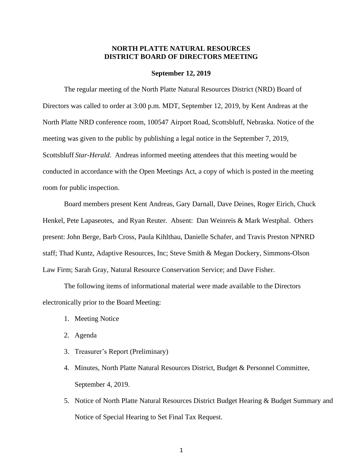## **NORTH PLATTE NATURAL RESOURCES DISTRICT BOARD OF DIRECTORS MEETING**

## **September 12, 2019**

The regular meeting of the North Platte Natural Resources District (NRD) Board of Directors was called to order at 3:00 p.m. MDT, September 12, 2019, by Kent Andreas at the North Platte NRD conference room, 100547 Airport Road, Scottsbluff, Nebraska. Notice of the meeting was given to the public by publishing a legal notice in the September 7, 2019, Scottsbluff *Star-Herald*. Andreas informed meeting attendees that this meeting would be conducted in accordance with the Open Meetings Act, a copy of which is posted in the meeting room for public inspection.

Board members present Kent Andreas, Gary Darnall, Dave Deines, Roger Eirich, Chuck Henkel, Pete Lapaseotes, and Ryan Reuter. Absent: Dan Weinreis & Mark Westphal. Others present: John Berge, Barb Cross, Paula Kihlthau, Danielle Schafer, and Travis Preston NPNRD staff; Thad Kuntz, Adaptive Resources, Inc; Steve Smith & Megan Dockery, Simmons-Olson Law Firm; Sarah Gray, Natural Resource Conservation Service; and Dave Fisher.

The following items of informational material were made available to the Directors electronically prior to the Board Meeting:

- 1. Meeting Notice
- 2. Agenda
- 3. Treasurer's Report (Preliminary)
- 4. Minutes, North Platte Natural Resources District, Budget & Personnel Committee, September 4, 2019.
- 5. Notice of North Platte Natural Resources District Budget Hearing & Budget Summary and Notice of Special Hearing to Set Final Tax Request.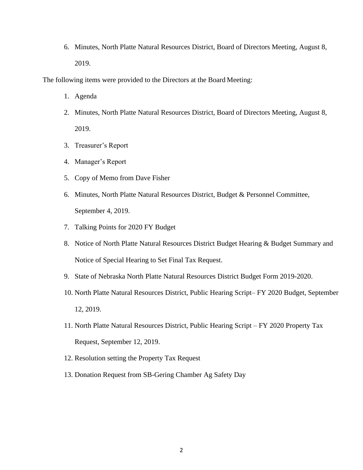6. Minutes, North Platte Natural Resources District, Board of Directors Meeting, August 8, 2019.

The following items were provided to the Directors at the Board Meeting:

- 1. Agenda
- 2. Minutes, North Platte Natural Resources District, Board of Directors Meeting, August 8, 2019.
- 3. Treasurer's Report
- 4. Manager's Report
- 5. Copy of Memo from Dave Fisher
- 6. Minutes, North Platte Natural Resources District, Budget & Personnel Committee, September 4, 2019.
- 7. Talking Points for 2020 FY Budget
- 8. Notice of North Platte Natural Resources District Budget Hearing & Budget Summary and Notice of Special Hearing to Set Final Tax Request.
- 9. State of Nebraska North Platte Natural Resources District Budget Form 2019-2020.
- 10. North Platte Natural Resources District, Public Hearing Script– FY 2020 Budget, September 12, 2019.
- 11. North Platte Natural Resources District, Public Hearing Script FY 2020 Property Tax Request, September 12, 2019.
- 12. Resolution setting the Property Tax Request
- 13. Donation Request from SB-Gering Chamber Ag Safety Day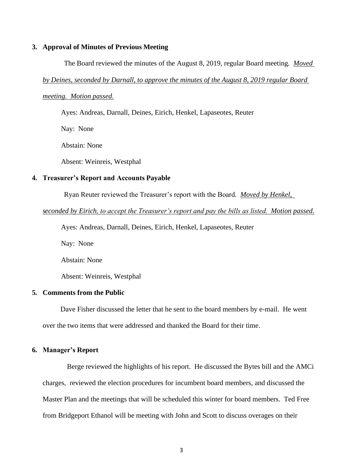## **3. Approval of Minutes of Previous Meeting**

The Board reviewed the minutes of the August 8, 2019, regular Board meeting*. Moved* 

#### *by Deines, seconded by Darnall, to approve the minutes of the August 8, 2019 regular Board*

#### *meeting. Motion passed.*

Ayes: Andreas, Darnall, Deines, Eirich, Henkel, Lapaseotes, Reuter

Nay: None

Abstain: None

Absent: Weinreis, Westphal

### **4. Treasurer's Report and Accounts Payable**

Ryan Reuter reviewed the Treasurer's report with the Board*. Moved by Henkel,* 

#### *seconded by Eirich, to accept the Treasurer's report and pay the bills as listed. Motion passed.*

Ayes: Andreas, Darnall, Deines, Eirich, Henkel, Lapaseotes, Reuter

Nay: None

Abstain: None

Absent: Weinreis, Westphal

## **5. Comments from the Public**

 Dave Fisher discussed the letter that he sent to the board members by e-mail. He went over the two items that were addressed and thanked the Board for their time.

## **6. Manager's Report**

Berge reviewed the highlights of his report. He discussed the Bytes bill and the AMCi charges, reviewed the election procedures for incumbent board members, and discussed the Master Plan and the meetings that will be scheduled this winter for board members. Ted Free from Bridgeport Ethanol will be meeting with John and Scott to discuss overages on their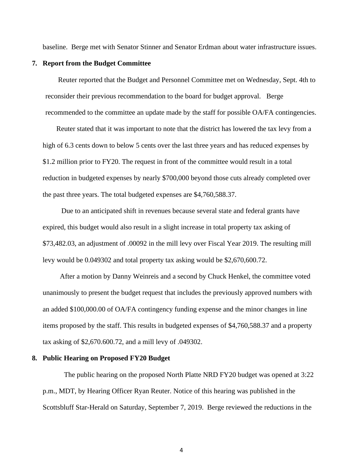baseline. Berge met with Senator Stinner and Senator Erdman about water infrastructure issues.

#### **7. Report from the Budget Committee**

Reuter reported that the Budget and Personnel Committee met on Wednesday, Sept. 4th to reconsider their previous recommendation to the board for budget approval. Berge recommended to the committee an update made by the staff for possible OA/FA contingencies.

Reuter stated that it was important to note that the district has lowered the tax levy from a high of 6.3 cents down to below 5 cents over the last three years and has reduced expenses by \$1.2 million prior to FY20. The request in front of the committee would result in a total reduction in budgeted expenses by nearly \$700,000 beyond those cuts already completed over the past three years. The total budgeted expenses are \$4,760,588.37.

Due to an anticipated shift in revenues because several state and federal grants have expired, this budget would also result in a slight increase in total property tax asking of \$73,482.03, an adjustment of .00092 in the mill levy over Fiscal Year 2019. The resulting mill levy would be 0.049302 and total property tax asking would be \$2,670,600.72.

 After a motion by Danny Weinreis and a second by Chuck Henkel, the committee voted unanimously to present the budget request that includes the previously approved numbers with an added \$100,000.00 of OA/FA contingency funding expense and the minor changes in line items proposed by the staff. This results in budgeted expenses of \$4,760,588.37 and a property tax asking of \$2,670.600.72, and a mill levy of .049302.

#### **8. Public Hearing on Proposed FY20 Budget**

The public hearing on the proposed North Platte NRD FY20 budget was opened at 3:22 p.m., MDT, by Hearing Officer Ryan Reuter. Notice of this hearing was published in the Scottsbluff Star-Herald on Saturday, September 7, 2019. Berge reviewed the reductions in the

4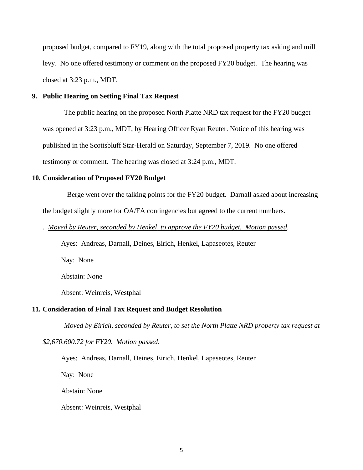proposed budget, compared to FY19, along with the total proposed property tax asking and mill levy. No one offered testimony or comment on the proposed FY20 budget. The hearing was closed at 3:23 p.m., MDT.

## **9. Public Hearing on Setting Final Tax Request**

The public hearing on the proposed North Platte NRD tax request for the FY20 budget was opened at 3:23 p.m., MDT, by Hearing Officer Ryan Reuter. Notice of this hearing was published in the Scottsbluff Star-Herald on Saturday, September 7, 2019. No one offered testimony or comment. The hearing was closed at 3:24 p.m., MDT.

#### **10. Consideration of Proposed FY20 Budget**

Berge went over the talking points for the FY20 budget. Darnall asked about increasing the budget slightly more for OA/FA contingencies but agreed to the current numbers.

#### *. Moved by Reuter, seconded by Henkel, to approve the FY20 budget. Motion passed.*

Ayes: Andreas, Darnall, Deines, Eirich, Henkel, Lapaseotes, Reuter

Nay: None

Abstain: None

Absent: Weinreis, Westphal

## **11. Consideration of Final Tax Request and Budget Resolution**

*Moved by Eirich, seconded by Reuter, to set the North Platte NRD property tax request at*

*\$2,670.600.72 for FY20. Motion passed.* 

Ayes: Andreas, Darnall, Deines, Eirich, Henkel, Lapaseotes, Reuter

Nay: None

Abstain: None

Absent: Weinreis, Westphal